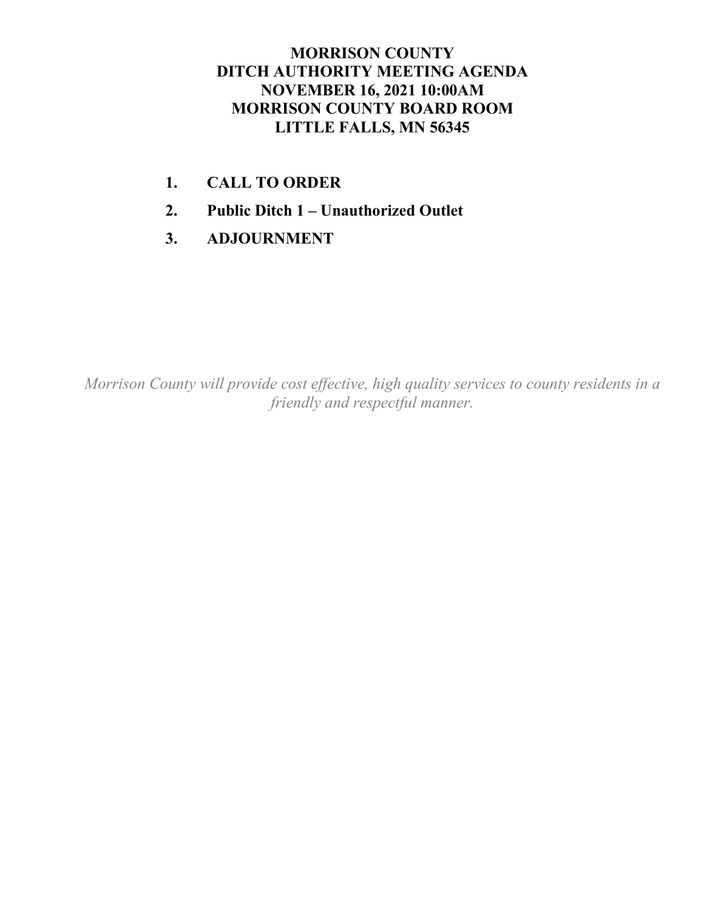## **MORRISON COUNTY DITCH AUTHORITY MEETING AGENDA NOVEMBER 16, 2021 10:00AM MORRISON COUNTY BOARD ROOM LITTLE FALLS, MN 56345**

- **1. CALL TO ORDER**
- **2. Public Ditch 1 – Unauthorized Outlet**
- **3. ADJOURNMENT**

*Morrison County will provide cost effective, high quality services to county residents in a friendly and respectful manner.*